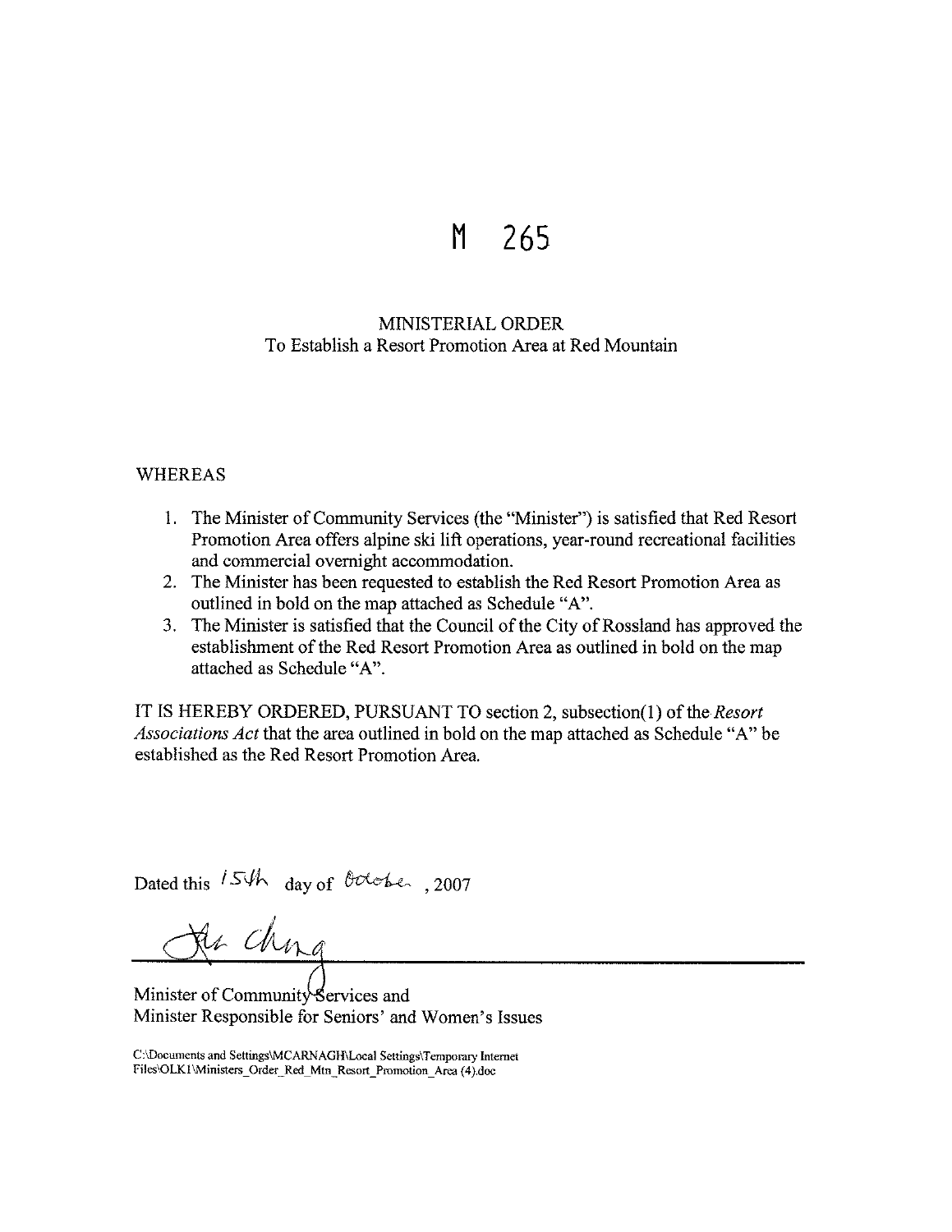## **M 265**

## MINISTERIAL ORDER To Establish a Resort Promotion Area at Red Mountain

## WHEREAS

- 1. The Minister of Community Services (the "Minister") is satisfied that Red Resort Promotion Area offers alpine ski lift operations, year-round recreational facilities and commercial overnight accommodation.
- 2. The Minister has been requested to establish the Red Resort Promotion Area as outlined in bold on the map attached as Schedule "A".
- 3. The Minister is satisfied that the Council of the City of Rossland has approved the establishment of the Red Resort Promotion Area as outlined in bold on the map attached as Schedule "A".

IT IS HEREBY ORDERED, PURSUANT TO section 2, subsection(]) of the *Resort Associations Act* that the area outlined in bold on the map attached as Schedule "A" be established as the Red Resort Promotion Area.

Dated this 15th day of October, 2007

Ja ching

Minister of Community-Services and Minister Responsible for Seniors' and Women's Issues

C:\Documents and Settings\MCARNAGH\Local Settings\Temporary Internet **Files\OLKl \Ministers\_ Order\_ Red\_ Mtn \_Resort\_ Promotion\_ Area ( 4 ).doc**